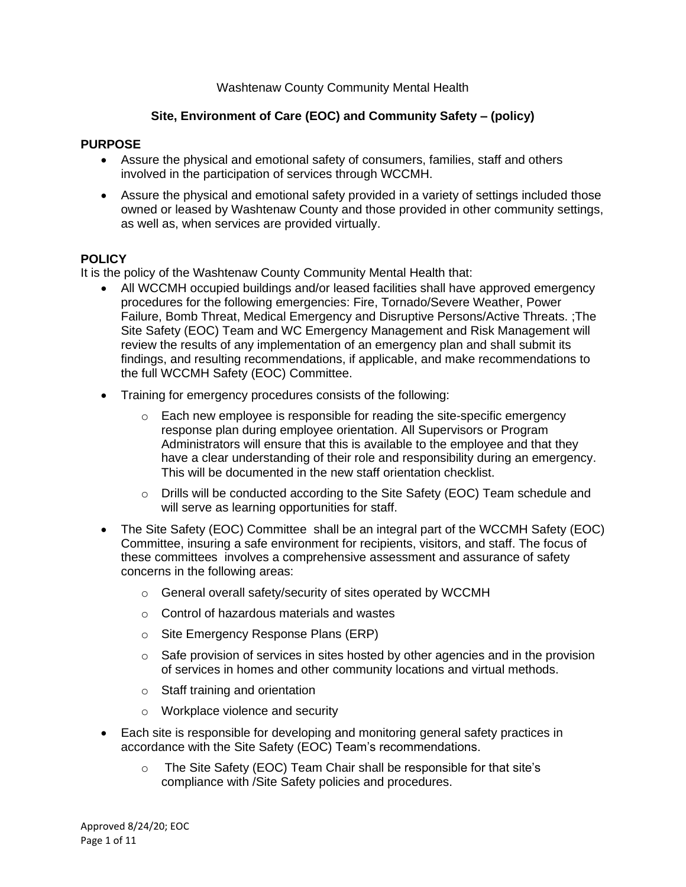### Washtenaw County Community Mental Health

# **Site, Environment of Care (EOC) and Community Safety – (policy)**

#### **PURPOSE**

- Assure the physical and emotional safety of consumers, families, staff and others involved in the participation of services through WCCMH.
- Assure the physical and emotional safety provided in a variety of settings included those owned or leased by Washtenaw County and those provided in other community settings, as well as, when services are provided virtually.

#### **POLICY**

It is the policy of the Washtenaw County Community Mental Health that:

- All WCCMH occupied buildings and/or leased facilities shall have approved emergency procedures for the following emergencies: Fire, Tornado/Severe Weather, Power Failure, Bomb Threat, Medical Emergency and Disruptive Persons/Active Threats. ;The Site Safety (EOC) Team and WC Emergency Management and Risk Management will review the results of any implementation of an emergency plan and shall submit its findings, and resulting recommendations, if applicable, and make recommendations to the full WCCMH Safety (EOC) Committee.
- Training for emergency procedures consists of the following:
	- $\circ$  Each new employee is responsible for reading the site-specific emergency response plan during employee orientation. All Supervisors or Program Administrators will ensure that this is available to the employee and that they have a clear understanding of their role and responsibility during an emergency. This will be documented in the new staff orientation checklist.
	- o Drills will be conducted according to the Site Safety (EOC) Team schedule and will serve as learning opportunities for staff.
- The Site Safety (EOC) Committee shall be an integral part of the WCCMH Safety (EOC) Committee, insuring a safe environment for recipients, visitors, and staff. The focus of these committees involves a comprehensive assessment and assurance of safety concerns in the following areas:
	- o General overall safety/security of sites operated by WCCMH
	- o Control of hazardous materials and wastes
	- o Site Emergency Response Plans (ERP)
	- $\circ$  Safe provision of services in sites hosted by other agencies and in the provision of services in homes and other community locations and virtual methods.
	- o Staff training and orientation
	- o Workplace violence and security
- Each site is responsible for developing and monitoring general safety practices in accordance with the Site Safety (EOC) Team's recommendations.
	- o The Site Safety (EOC) Team Chair shall be responsible for that site's compliance with /Site Safety policies and procedures.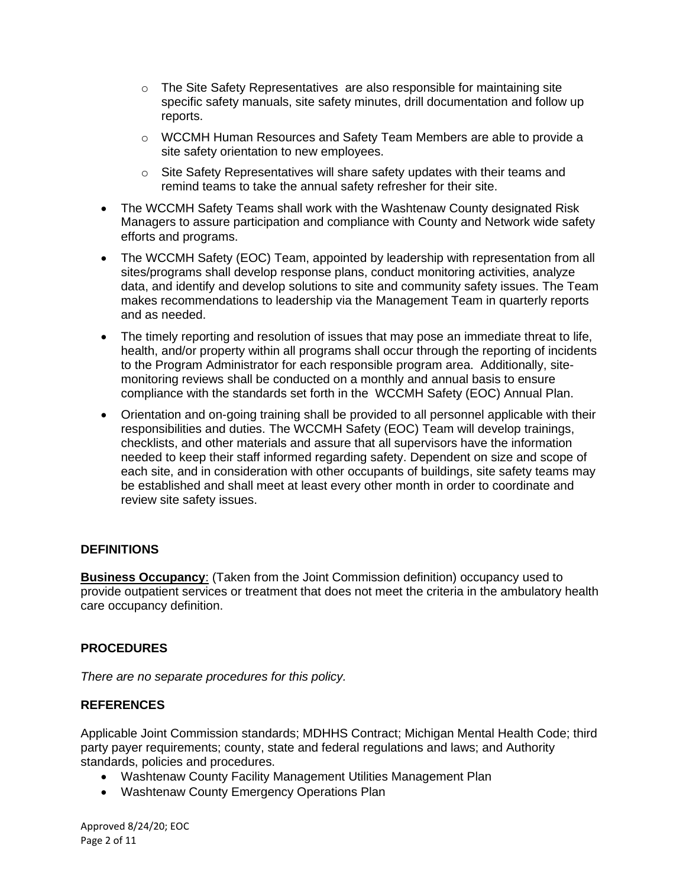- o The Site Safety Representatives are also responsible for maintaining site specific safety manuals, site safety minutes, drill documentation and follow up reports.
- o WCCMH Human Resources and Safety Team Members are able to provide a site safety orientation to new employees.
- o Site Safety Representatives will share safety updates with their teams and remind teams to take the annual safety refresher for their site.
- The WCCMH Safety Teams shall work with the Washtenaw County designated Risk Managers to assure participation and compliance with County and Network wide safety efforts and programs.
- The WCCMH Safety (EOC) Team, appointed by leadership with representation from all sites/programs shall develop response plans, conduct monitoring activities, analyze data, and identify and develop solutions to site and community safety issues. The Team makes recommendations to leadership via the Management Team in quarterly reports and as needed.
- The timely reporting and resolution of issues that may pose an immediate threat to life, health, and/or property within all programs shall occur through the reporting of incidents to the Program Administrator for each responsible program area. Additionally, sitemonitoring reviews shall be conducted on a monthly and annual basis to ensure compliance with the standards set forth in the WCCMH Safety (EOC) Annual Plan.
- Orientation and on-going training shall be provided to all personnel applicable with their responsibilities and duties. The WCCMH Safety (EOC) Team will develop trainings, checklists, and other materials and assure that all supervisors have the information needed to keep their staff informed regarding safety. Dependent on size and scope of each site, and in consideration with other occupants of buildings, site safety teams may be established and shall meet at least every other month in order to coordinate and review site safety issues.

### **DEFINITIONS**

**Business Occupancy**: (Taken from the Joint Commission definition) occupancy used to provide outpatient services or treatment that does not meet the criteria in the ambulatory health care occupancy definition.

### **PROCEDURES**

*There are no separate procedures for this policy.*

#### **REFERENCES**

Applicable Joint Commission standards; MDHHS Contract; Michigan Mental Health Code; third party payer requirements; county, state and federal regulations and laws; and Authority standards, policies and procedures.

- Washtenaw County Facility Management Utilities Management Plan
- Washtenaw County Emergency Operations Plan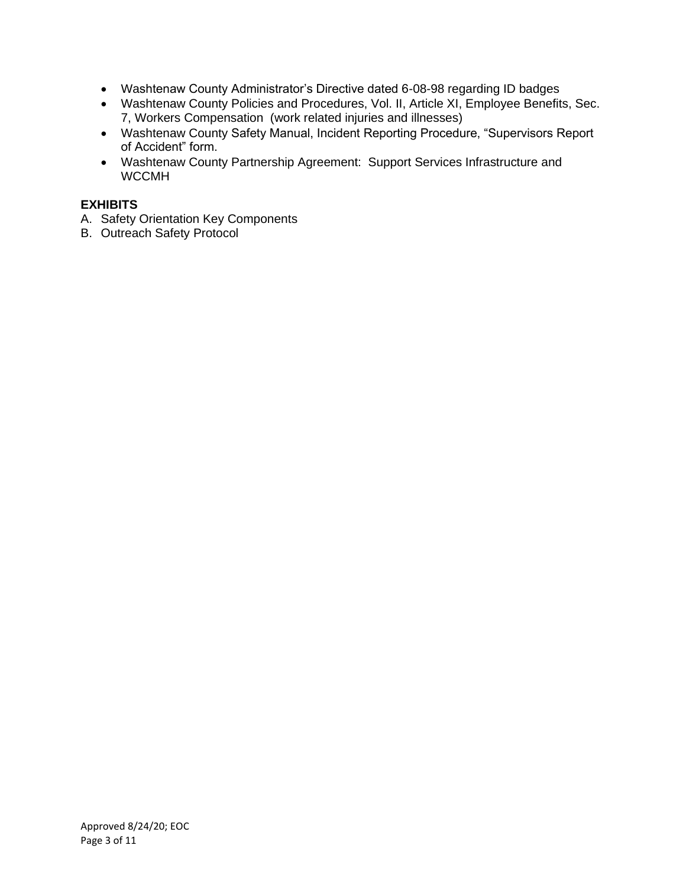- Washtenaw County Administrator's Directive dated 6-08-98 regarding ID badges
- Washtenaw County Policies and Procedures, Vol. II, Article XI, Employee Benefits, Sec. 7, Workers Compensation (work related injuries and illnesses)
- Washtenaw County Safety Manual, Incident Reporting Procedure, "Supervisors Report of Accident" form.
- Washtenaw County Partnership Agreement: Support Services Infrastructure and WCCMH

### **EXHIBITS**

- A. Safety Orientation Key Components
- B. Outreach Safety Protocol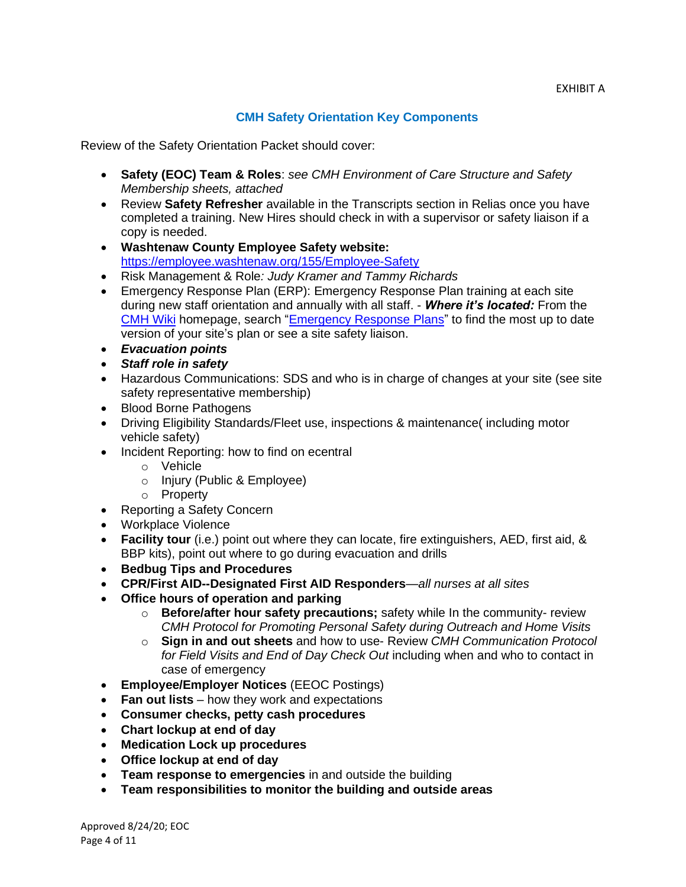# **CMH Safety Orientation Key Components**

Review of the Safety Orientation Packet should cover:

- **Safety (EOC) Team & Roles**: *see CMH Environment of Care Structure and Safety Membership sheets, attached*
- Review **Safety Refresher** available in the Transcripts section in Relias once you have completed a training. New Hires should check in with a supervisor or safety liaison if a copy is needed.
- **Washtenaw County Employee Safety website:** <https://employee.washtenaw.org/155/Employee-Safety>
- Risk Management & Role*: Judy Kramer and Tammy Richards*
- Emergency Response Plan (ERP): Emergency Response Plan training at each site during new staff orientation and annually with all staff. - *Where it's located:* From the [CMH](https://cstswiki.ewashtenaw.org/wiki%20pages/Home.aspx) Wiki homepage, search ["Emergency Response Plans"](https://ewashtenaw.sharepoint.com/sites/CSTS_Wiki/Pages/Emergency%20Response%20Plans.aspx) to find the most up to date version of your site's plan or see a site safety liaison.
- *Evacuation points*
- *Staff role in safety*
- Hazardous Communications: SDS and who is in charge of changes at your site (see site safety representative membership)
- Blood Borne Pathogens
- Driving Eligibility Standards/Fleet use, inspections & maintenance( including motor vehicle safety)
- Incident Reporting: how to find on ecentral
	- o Vehicle
	- o Injury (Public & Employee)
	- o Property
- Reporting a Safety Concern
- Workplace Violence
- **Facility tour** (i.e.) point out where they can locate, fire extinguishers, AED, first aid, & BBP kits), point out where to go during evacuation and drills
- **Bedbug Tips and Procedures**
- **CPR/First AID--Designated First AID Responders**—*all nurses at all sites*
- **Office hours of operation and parking**
	- o **Before/after hour safety precautions;** safety while In the community- review *CMH Protocol for Promoting Personal Safety during Outreach and Home Visits*
	- o **Sign in and out sheets** and how to use- Review *CMH Communication Protocol for Field Visits and End of Day Check Out* including when and who to contact in case of emergency
- **Employee/Employer Notices** (EEOC Postings)
- **Fan out lists** how they work and expectations
- **Consumer checks, petty cash procedures**
- **Chart lockup at end of day**
- **Medication Lock up procedures**
- **Office lockup at end of day**
- **Team response to emergencies** in and outside the building
- **Team responsibilities to monitor the building and outside areas**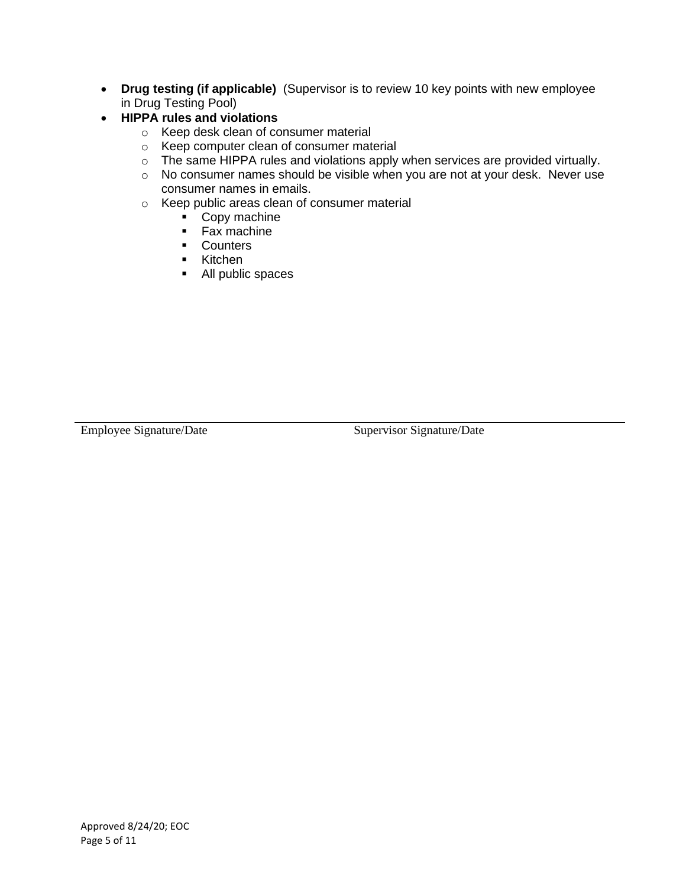- **Drug testing (if applicable)** (Supervisor is to review 10 key points with new employee in Drug Testing Pool)
- **HIPPA rules and violations**
	- o Keep desk clean of consumer material
	- o Keep computer clean of consumer material
	- o The same HIPPA rules and violations apply when services are provided virtually.
	- o No consumer names should be visible when you are not at your desk. Never use consumer names in emails.
	- o Keep public areas clean of consumer material
		- Copy machine
		- Fax machine
		- Counters
		- Kitchen
		- All public spaces

Employee Signature/Date Supervisor Signature/Date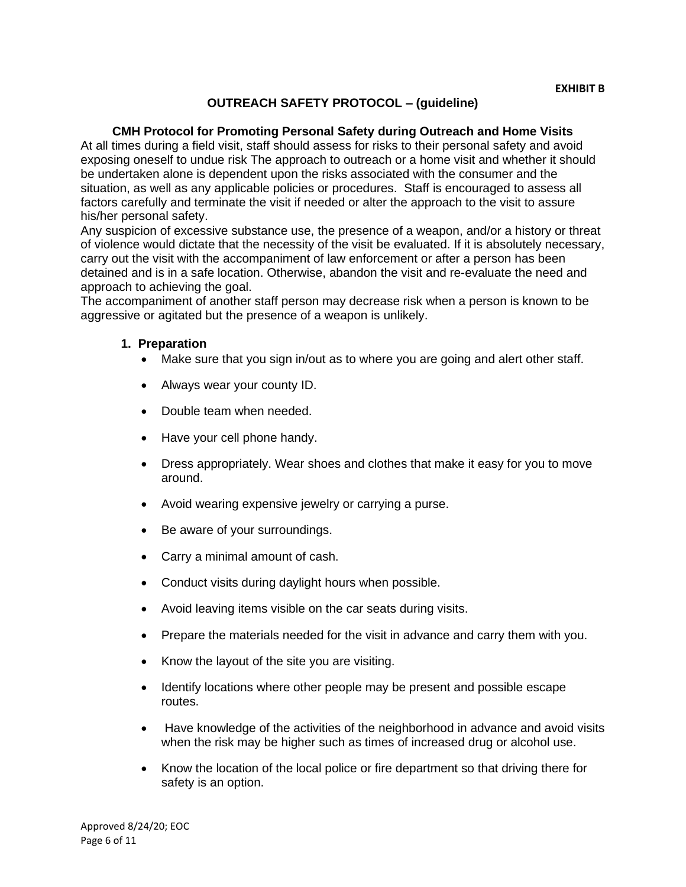### **OUTREACH SAFETY PROTOCOL – (guideline)**

#### **CMH Protocol for Promoting Personal Safety during Outreach and Home Visits**

At all times during a field visit, staff should assess for risks to their personal safety and avoid exposing oneself to undue risk The approach to outreach or a home visit and whether it should be undertaken alone is dependent upon the risks associated with the consumer and the situation, as well as any applicable policies or procedures. Staff is encouraged to assess all factors carefully and terminate the visit if needed or alter the approach to the visit to assure his/her personal safety.

Any suspicion of excessive substance use, the presence of a weapon, and/or a history or threat of violence would dictate that the necessity of the visit be evaluated. If it is absolutely necessary, carry out the visit with the accompaniment of law enforcement or after a person has been detained and is in a safe location. Otherwise, abandon the visit and re-evaluate the need and approach to achieving the goal.

The accompaniment of another staff person may decrease risk when a person is known to be aggressive or agitated but the presence of a weapon is unlikely.

#### **1. Preparation**

- Make sure that you sign in/out as to where you are going and alert other staff.
- Always wear your county ID.
- Double team when needed.
- Have your cell phone handy.
- Dress appropriately. Wear shoes and clothes that make it easy for you to move around.
- Avoid wearing expensive jewelry or carrying a purse.
- Be aware of your surroundings.
- Carry a minimal amount of cash.
- Conduct visits during daylight hours when possible.
- Avoid leaving items visible on the car seats during visits.
- Prepare the materials needed for the visit in advance and carry them with you.
- Know the layout of the site you are visiting.
- Identify locations where other people may be present and possible escape routes.
- Have knowledge of the activities of the neighborhood in advance and avoid visits when the risk may be higher such as times of increased drug or alcohol use.
- Know the location of the local police or fire department so that driving there for safety is an option.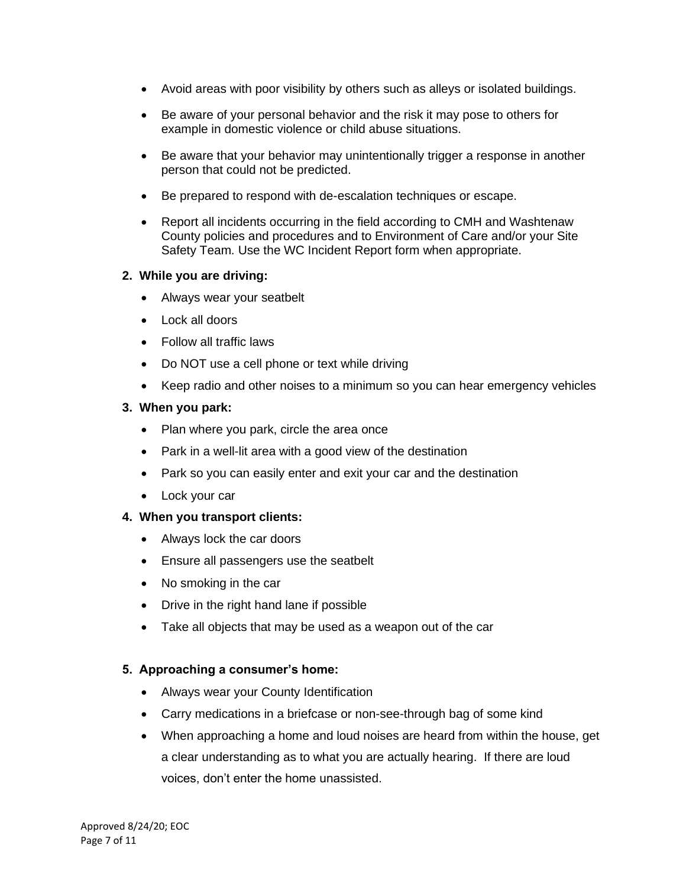- Avoid areas with poor visibility by others such as alleys or isolated buildings.
- Be aware of your personal behavior and the risk it may pose to others for example in domestic violence or child abuse situations.
- Be aware that your behavior may unintentionally trigger a response in another person that could not be predicted.
- Be prepared to respond with de-escalation techniques or escape.
- Report all incidents occurring in the field according to CMH and Washtenaw County policies and procedures and to Environment of Care and/or your Site Safety Team. Use the WC Incident Report form when appropriate.

## **2. While you are driving:**

- Always wear your seatbelt
- Lock all doors
- Follow all traffic laws
- Do NOT use a cell phone or text while driving
- Keep radio and other noises to a minimum so you can hear emergency vehicles

## **3. When you park:**

- Plan where you park, circle the area once
- Park in a well-lit area with a good view of the destination
- Park so you can easily enter and exit your car and the destination
- Lock your car

### **4. When you transport clients:**

- Always lock the car doors
- Ensure all passengers use the seatbelt
- No smoking in the car
- Drive in the right hand lane if possible
- Take all objects that may be used as a weapon out of the car

# **5. Approaching a consumer's home:**

- Always wear your County Identification
- Carry medications in a briefcase or non-see-through bag of some kind
- When approaching a home and loud noises are heard from within the house, get a clear understanding as to what you are actually hearing. If there are loud voices, don't enter the home unassisted.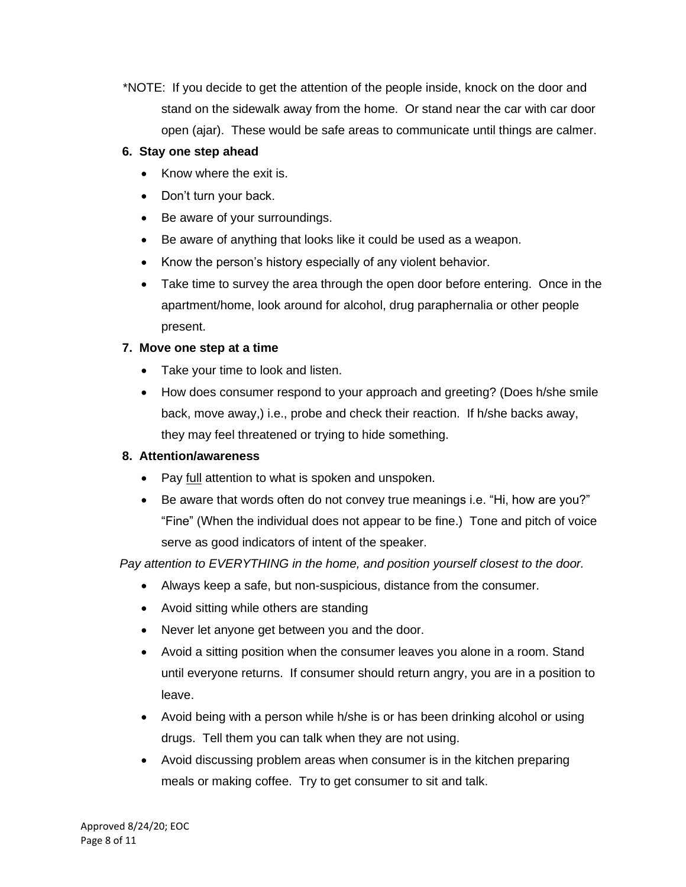\*NOTE: If you decide to get the attention of the people inside, knock on the door and stand on the sidewalk away from the home. Or stand near the car with car door open (ajar). These would be safe areas to communicate until things are calmer.

# **6. Stay one step ahead**

- Know where the exit is.
- Don't turn your back.
- Be aware of your surroundings.
- Be aware of anything that looks like it could be used as a weapon.
- Know the person's history especially of any violent behavior.
- Take time to survey the area through the open door before entering. Once in the apartment/home, look around for alcohol, drug paraphernalia or other people present.

# **7. Move one step at a time**

- Take your time to look and listen.
- How does consumer respond to your approach and greeting? (Does h/she smile back, move away,) i.e., probe and check their reaction. If h/she backs away, they may feel threatened or trying to hide something.

# **8. Attention/awareness**

- Pay full attention to what is spoken and unspoken.
- Be aware that words often do not convey true meanings i.e. "Hi, how are you?" "Fine" (When the individual does not appear to be fine.) Tone and pitch of voice serve as good indicators of intent of the speaker.

# *Pay attention to EVERYTHING in the home, and position yourself closest to the door.*

- Always keep a safe, but non-suspicious, distance from the consumer.
- Avoid sitting while others are standing
- Never let anyone get between you and the door.
- Avoid a sitting position when the consumer leaves you alone in a room. Stand until everyone returns. If consumer should return angry, you are in a position to leave.
- Avoid being with a person while h/she is or has been drinking alcohol or using drugs. Tell them you can talk when they are not using.
- Avoid discussing problem areas when consumer is in the kitchen preparing meals or making coffee. Try to get consumer to sit and talk.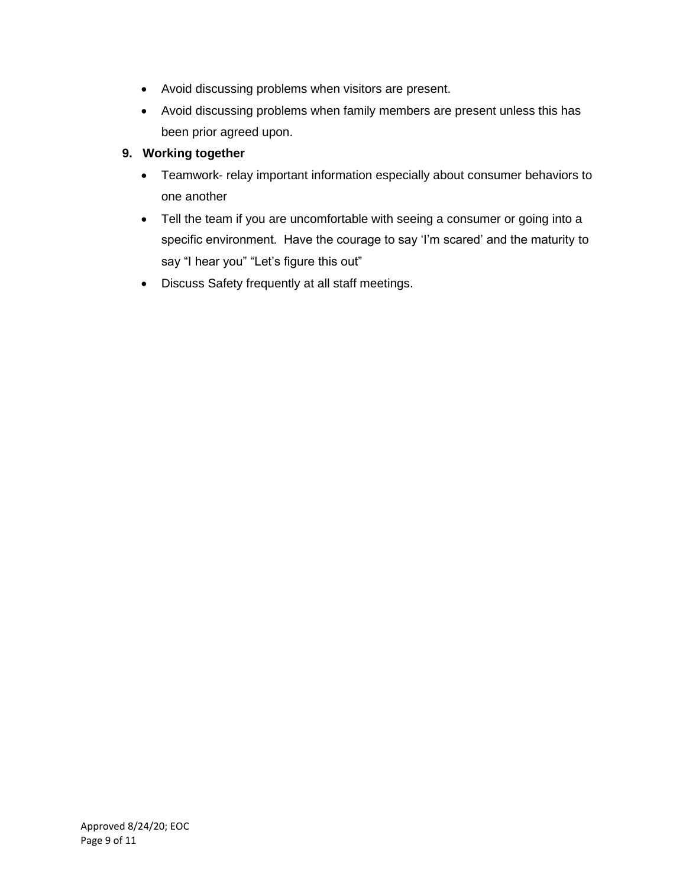- Avoid discussing problems when visitors are present.
- Avoid discussing problems when family members are present unless this has been prior agreed upon.

# **9. Working together**

- Teamwork- relay important information especially about consumer behaviors to one another
- Tell the team if you are uncomfortable with seeing a consumer or going into a specific environment. Have the courage to say 'I'm scared' and the maturity to say "I hear you" "Let's figure this out"
- Discuss Safety frequently at all staff meetings.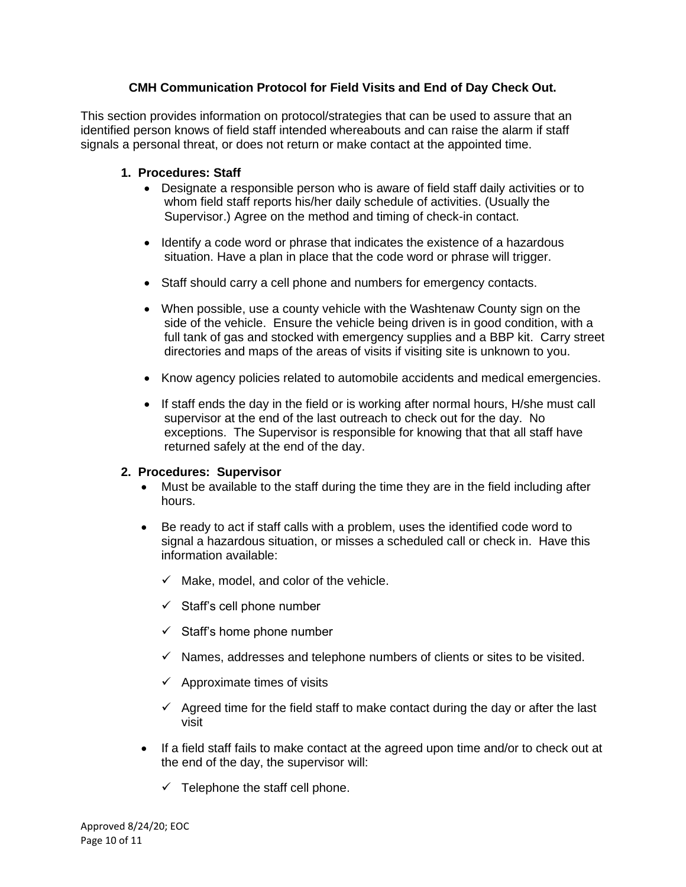# **CMH Communication Protocol for Field Visits and End of Day Check Out.**

This section provides information on protocol/strategies that can be used to assure that an identified person knows of field staff intended whereabouts and can raise the alarm if staff signals a personal threat, or does not return or make contact at the appointed time.

# **1. Procedures: Staff**

- Designate a responsible person who is aware of field staff daily activities or to whom field staff reports his/her daily schedule of activities. (Usually the Supervisor.) Agree on the method and timing of check-in contact.
- Identify a code word or phrase that indicates the existence of a hazardous situation. Have a plan in place that the code word or phrase will trigger.
- Staff should carry a cell phone and numbers for emergency contacts.
- When possible, use a county vehicle with the Washtenaw County sign on the side of the vehicle. Ensure the vehicle being driven is in good condition, with a full tank of gas and stocked with emergency supplies and a BBP kit. Carry street directories and maps of the areas of visits if visiting site is unknown to you.
- Know agency policies related to automobile accidents and medical emergencies.
- If staff ends the day in the field or is working after normal hours, H/she must call supervisor at the end of the last outreach to check out for the day. No exceptions. The Supervisor is responsible for knowing that that all staff have returned safely at the end of the day.

### **2. Procedures: Supervisor**

- Must be available to the staff during the time they are in the field including after hours.
- Be ready to act if staff calls with a problem, uses the identified code word to signal a hazardous situation, or misses a scheduled call or check in. Have this information available:
	- $\checkmark$  Make, model, and color of the vehicle.
	- $\checkmark$  Staff's cell phone number
	- $\checkmark$  Staff's home phone number
	- $\checkmark$  Names, addresses and telephone numbers of clients or sites to be visited.
	- $\checkmark$  Approximate times of visits
	- $\checkmark$  Agreed time for the field staff to make contact during the day or after the last visit
- If a field staff fails to make contact at the agreed upon time and/or to check out at the end of the day, the supervisor will:
	- $\checkmark$  Telephone the staff cell phone.